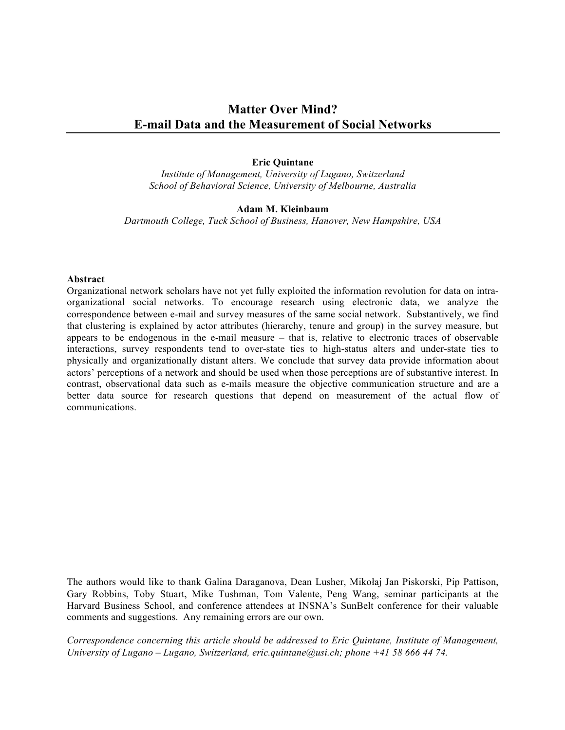# **Matter Over Mind? E-mail Data and the Measurement of Social Networks**

#### **Eric Quintane**

*Institute of Management, University of Lugano, Switzerland School of Behavioral Science, University of Melbourne, Australia*

#### **Adam M. Kleinbaum**

*Dartmouth College, Tuck School of Business, Hanover, New Hampshire, USA*

#### **Abstract**

Organizational network scholars have not yet fully exploited the information revolution for data on intraorganizational social networks. To encourage research using electronic data, we analyze the correspondence between e-mail and survey measures of the same social network. Substantively, we find that clustering is explained by actor attributes (hierarchy, tenure and group) in the survey measure, but appears to be endogenous in the e-mail measure – that is, relative to electronic traces of observable interactions, survey respondents tend to over-state ties to high-status alters and under-state ties to physically and organizationally distant alters. We conclude that survey data provide information about actors' perceptions of a network and should be used when those perceptions are of substantive interest. In contrast, observational data such as e-mails measure the objective communication structure and are a better data source for research questions that depend on measurement of the actual flow of communications.

The authors would like to thank Galina Daraganova, Dean Lusher, Mikołaj Jan Piskorski, Pip Pattison, Gary Robbins, Toby Stuart, Mike Tushman, Tom Valente, Peng Wang, seminar participants at the Harvard Business School, and conference attendees at INSNA's SunBelt conference for their valuable comments and suggestions. Any remaining errors are our own.

*Correspondence concerning this article should be addressed to Eric Quintane, Institute of Management, University of Lugano – Lugano, Switzerland, eric.quintane@usi.ch; phone +41 58 666 44 74.*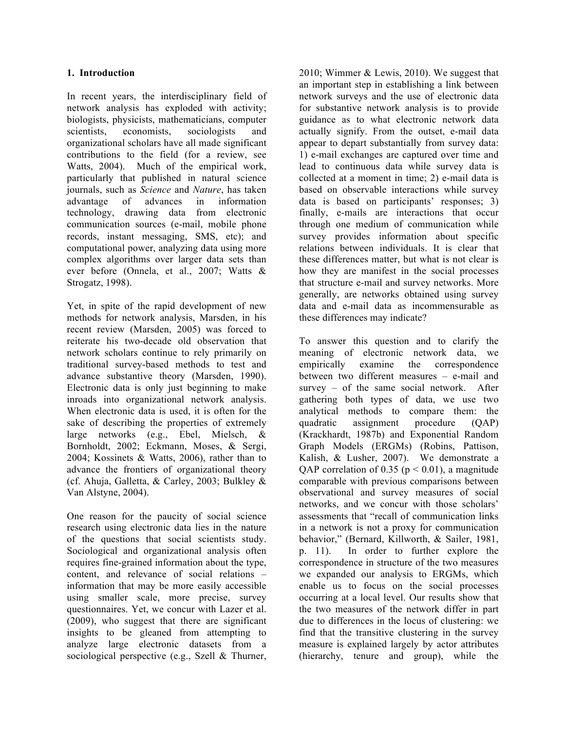#### **1. Introduction**

In recent years, the interdisciplinary field of network analysis has exploded with activity; biologists, physicists, mathematicians, computer scientists, economists, sociologists and organizational scholars have all made significant contributions to the field (for a review, see Watts, 2004). Much of the empirical work, particularly that published in natural science journals, such as *Science* and *Nature*, has taken advantage of advances in information technology, drawing data from electronic communication sources (e-mail, mobile phone records, instant messaging, SMS, etc); and computational power, analyzing data using more complex algorithms over larger data sets than ever before (Onnela, et al., 2007; Watts & Strogatz, 1998).

Yet, in spite of the rapid development of new methods for network analysis, Marsden, in his recent review (Marsden, 2005) was forced to reiterate his two-decade old observation that network scholars continue to rely primarily on traditional survey-based methods to test and advance substantive theory (Marsden, 1990). Electronic data is only just beginning to make inroads into organizational network analysis. When electronic data is used, it is often for the sake of describing the properties of extremely large networks (e.g., Ebel, Mielsch, & Bornholdt, 2002; Eckmann, Moses, & Sergi, 2004; Kossinets & Watts, 2006), rather than to advance the frontiers of organizational theory (cf. Ahuja, Galletta, & Carley, 2003; Bulkley & Van Alstyne, 2004).

One reason for the paucity of social science research using electronic data lies in the nature of the questions that social scientists study. Sociological and organizational analysis often requires fine-grained information about the type, content, and relevance of social relations – information that may be more easily accessible using smaller scale, more precise, survey questionnaires. Yet, we concur with Lazer et al. (2009), who suggest that there are significant insights to be gleaned from attempting to analyze large electronic datasets from a sociological perspective (e.g., Szell & Thurner, 2010; Wimmer & Lewis, 2010). We suggest that an important step in establishing a link between network surveys and the use of electronic data for substantive network analysis is to provide guidance as to what electronic network data actually signify. From the outset, e-mail data appear to depart substantially from survey data: 1) e-mail exchanges are captured over time and lead to continuous data while survey data is collected at a moment in time; 2) e-mail data is based on observable interactions while survey data is based on participants' responses; 3) finally, e-mails are interactions that occur through one medium of communication while survey provides information about specific relations between individuals. It is clear that these differences matter, but what is not clear is how they are manifest in the social processes that structure e-mail and survey networks. More generally, are networks obtained using survey data and e-mail data as incommensurable as these differences may indicate?

To answer this question and to clarify the meaning of electronic network data, we empirically examine the correspondence between two different measures – e-mail and survey – of the same social network. After gathering both types of data, we use two analytical methods to compare them: the quadratic assignment procedure (QAP) (Krackhardt, 1987b) and Exponential Random Graph Models (ERGMs) (Robins, Pattison, Kalish, & Lusher, 2007). We demonstrate a QAP correlation of 0.35 ( $p < 0.01$ ), a magnitude comparable with previous comparisons between observational and survey measures of social networks, and we concur with those scholars' assessments that "recall of communication links in a network is not a proxy for communication behavior," (Bernard, Killworth, & Sailer, 1981, p. 11). In order to further explore the correspondence in structure of the two measures we expanded our analysis to ERGMs, which enable us to focus on the social processes occurring at a local level. Our results show that the two measures of the network differ in part due to differences in the locus of clustering: we find that the transitive clustering in the survey measure is explained largely by actor attributes (hierarchy, tenure and group), while the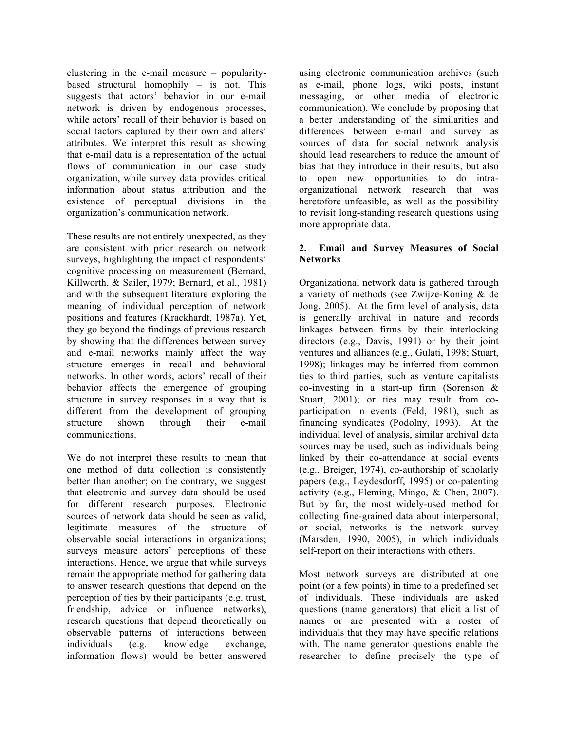clustering in the e-mail measure – popularitybased structural homophily – is not. This suggests that actors' behavior in our e-mail network is driven by endogenous processes, while actors' recall of their behavior is based on social factors captured by their own and alters' attributes. We interpret this result as showing that e-mail data is a representation of the actual flows of communication in our case study organization, while survey data provides critical information about status attribution and the existence of perceptual divisions in the organization's communication network.

These results are not entirely unexpected, as they are consistent with prior research on network surveys, highlighting the impact of respondents' cognitive processing on measurement (Bernard, Killworth, & Sailer, 1979; Bernard, et al., 1981) and with the subsequent literature exploring the meaning of individual perception of network positions and features (Krackhardt, 1987a). Yet, they go beyond the findings of previous research by showing that the differences between survey and e-mail networks mainly affect the way structure emerges in recall and behavioral networks. In other words, actors' recall of their behavior affects the emergence of grouping structure in survey responses in a way that is different from the development of grouping structure shown through their e-mail communications.

We do not interpret these results to mean that one method of data collection is consistently better than another; on the contrary, we suggest that electronic and survey data should be used for different research purposes. Electronic sources of network data should be seen as valid, legitimate measures of the structure of observable social interactions in organizations; surveys measure actors' perceptions of these interactions. Hence, we argue that while surveys remain the appropriate method for gathering data to answer research questions that depend on the perception of ties by their participants (e.g. trust, friendship, advice or influence networks), research questions that depend theoretically on observable patterns of interactions between individuals (e.g. knowledge exchange, information flows) would be better answered using electronic communication archives (such as e-mail, phone logs, wiki posts, instant messaging, or other media of electronic communication). We conclude by proposing that a better understanding of the similarities and differences between e-mail and survey as sources of data for social network analysis should lead researchers to reduce the amount of bias that they introduce in their results, but also to open new opportunities to do intraorganizational network research that was heretofore unfeasible, as well as the possibility to revisit long-standing research questions using more appropriate data.

#### **2. Email and Survey Measures of Social Networks**

Organizational network data is gathered through a variety of methods (see Zwijze-Koning & de Jong, 2005). At the firm level of analysis, data is generally archival in nature and records linkages between firms by their interlocking directors (e.g., Davis, 1991) or by their joint ventures and alliances (e.g., Gulati, 1998; Stuart, 1998); linkages may be inferred from common ties to third parties, such as venture capitalists co-investing in a start-up firm (Sorenson & Stuart, 2001); or ties may result from coparticipation in events (Feld, 1981), such as financing syndicates (Podolny, 1993). At the individual level of analysis, similar archival data sources may be used, such as individuals being linked by their co-attendance at social events (e.g., Breiger, 1974), co-authorship of scholarly papers (e.g., Leydesdorff, 1995) or co-patenting activity (e.g., Fleming, Mingo, & Chen, 2007). But by far, the most widely-used method for collecting fine-grained data about interpersonal, or social, networks is the network survey (Marsden, 1990, 2005), in which individuals self-report on their interactions with others.

Most network surveys are distributed at one point (or a few points) in time to a predefined set of individuals. These individuals are asked questions (name generators) that elicit a list of names or are presented with a roster of individuals that they may have specific relations with. The name generator questions enable the researcher to define precisely the type of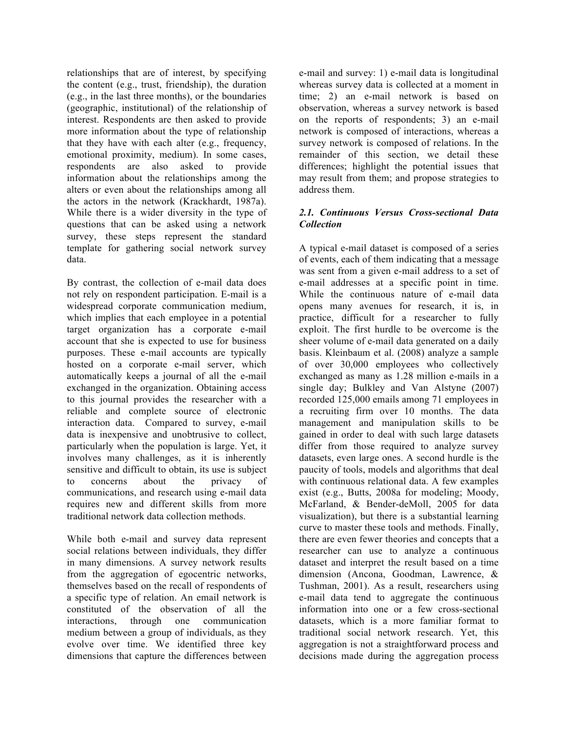relationships that are of interest, by specifying the content (e.g., trust, friendship), the duration (e.g., in the last three months), or the boundaries (geographic, institutional) of the relationship of interest. Respondents are then asked to provide more information about the type of relationship that they have with each alter (e.g., frequency, emotional proximity, medium). In some cases, respondents are also asked to provide information about the relationships among the alters or even about the relationships among all the actors in the network (Krackhardt, 1987a). While there is a wider diversity in the type of questions that can be asked using a network survey, these steps represent the standard template for gathering social network survey data.

By contrast, the collection of e-mail data does not rely on respondent participation. E-mail is a widespread corporate communication medium, which implies that each employee in a potential target organization has a corporate e-mail account that she is expected to use for business purposes. These e-mail accounts are typically hosted on a corporate e-mail server, which automatically keeps a journal of all the e-mail exchanged in the organization. Obtaining access to this journal provides the researcher with a reliable and complete source of electronic interaction data. Compared to survey, e-mail data is inexpensive and unobtrusive to collect, particularly when the population is large. Yet, it involves many challenges, as it is inherently sensitive and difficult to obtain, its use is subject to concerns about the privacy of communications, and research using e-mail data requires new and different skills from more traditional network data collection methods.

While both e-mail and survey data represent social relations between individuals, they differ in many dimensions. A survey network results from the aggregation of egocentric networks, themselves based on the recall of respondents of a specific type of relation. An email network is constituted of the observation of all the interactions, through one communication medium between a group of individuals, as they evolve over time. We identified three key dimensions that capture the differences between e-mail and survey: 1) e-mail data is longitudinal whereas survey data is collected at a moment in time; 2) an e-mail network is based on observation, whereas a survey network is based on the reports of respondents; 3) an e-mail network is composed of interactions, whereas a survey network is composed of relations. In the remainder of this section, we detail these differences; highlight the potential issues that may result from them; and propose strategies to address them.

#### *2.1. Continuous Versus Cross-sectional Data Collection*

A typical e-mail dataset is composed of a series of events, each of them indicating that a message was sent from a given e-mail address to a set of e-mail addresses at a specific point in time. While the continuous nature of e-mail data opens many avenues for research, it is, in practice, difficult for a researcher to fully exploit. The first hurdle to be overcome is the sheer volume of e-mail data generated on a daily basis. Kleinbaum et al. (2008) analyze a sample of over 30,000 employees who collectively exchanged as many as 1.28 million e-mails in a single day; Bulkley and Van Alstyne (2007) recorded 125,000 emails among 71 employees in a recruiting firm over 10 months. The data management and manipulation skills to be gained in order to deal with such large datasets differ from those required to analyze survey datasets, even large ones. A second hurdle is the paucity of tools, models and algorithms that deal with continuous relational data. A few examples exist (e.g., Butts, 2008a for modeling; Moody, McFarland, & Bender-deMoll, 2005 for data visualization), but there is a substantial learning curve to master these tools and methods. Finally, there are even fewer theories and concepts that a researcher can use to analyze a continuous dataset and interpret the result based on a time dimension (Ancona, Goodman, Lawrence, & Tushman, 2001). As a result, researchers using e-mail data tend to aggregate the continuous information into one or a few cross-sectional datasets, which is a more familiar format to traditional social network research. Yet, this aggregation is not a straightforward process and decisions made during the aggregation process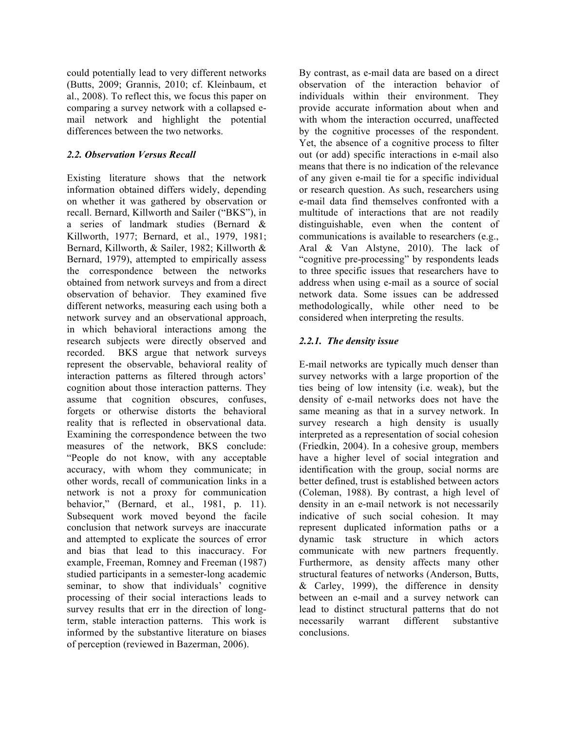could potentially lead to very different networks (Butts, 2009; Grannis, 2010; cf. Kleinbaum, et al., 2008). To reflect this, we focus this paper on comparing a survey network with a collapsed email network and highlight the potential differences between the two networks.

# *2.2. Observation Versus Recall*

Existing literature shows that the network information obtained differs widely, depending on whether it was gathered by observation or recall. Bernard, Killworth and Sailer ("BKS"), in a series of landmark studies (Bernard & Killworth, 1977; Bernard, et al., 1979, 1981; Bernard, Killworth, & Sailer, 1982; Killworth & Bernard, 1979), attempted to empirically assess the correspondence between the networks obtained from network surveys and from a direct observation of behavior. They examined five different networks, measuring each using both a network survey and an observational approach, in which behavioral interactions among the research subjects were directly observed and recorded. BKS argue that network surveys represent the observable, behavioral reality of interaction patterns as filtered through actors' cognition about those interaction patterns. They assume that cognition obscures, confuses, forgets or otherwise distorts the behavioral reality that is reflected in observational data. Examining the correspondence between the two measures of the network, BKS conclude: "People do not know, with any acceptable accuracy, with whom they communicate; in other words, recall of communication links in a network is not a proxy for communication behavior," (Bernard, et al., 1981, p. 11). Subsequent work moved beyond the facile conclusion that network surveys are inaccurate and attempted to explicate the sources of error and bias that lead to this inaccuracy. For example, Freeman, Romney and Freeman (1987) studied participants in a semester-long academic seminar, to show that individuals' cognitive processing of their social interactions leads to survey results that err in the direction of longterm, stable interaction patterns. This work is informed by the substantive literature on biases of perception (reviewed in Bazerman, 2006).

By contrast, as e-mail data are based on a direct observation of the interaction behavior of individuals within their environment. They provide accurate information about when and with whom the interaction occurred, unaffected by the cognitive processes of the respondent. Yet, the absence of a cognitive process to filter out (or add) specific interactions in e-mail also means that there is no indication of the relevance of any given e-mail tie for a specific individual or research question. As such, researchers using e-mail data find themselves confronted with a multitude of interactions that are not readily distinguishable, even when the content of communications is available to researchers (e.g., Aral & Van Alstyne, 2010). The lack of "cognitive pre-processing" by respondents leads to three specific issues that researchers have to address when using e-mail as a source of social network data. Some issues can be addressed methodologically, while other need to be considered when interpreting the results.

### *2.2.1. The density issue*

E-mail networks are typically much denser than survey networks with a large proportion of the ties being of low intensity (i.e. weak), but the density of e-mail networks does not have the same meaning as that in a survey network. In survey research a high density is usually interpreted as a representation of social cohesion (Friedkin, 2004). In a cohesive group, members have a higher level of social integration and identification with the group, social norms are better defined, trust is established between actors (Coleman, 1988). By contrast, a high level of density in an e-mail network is not necessarily indicative of such social cohesion. It may represent duplicated information paths or a dynamic task structure in which actors communicate with new partners frequently. Furthermore, as density affects many other structural features of networks (Anderson, Butts,  $& Carley, 1999)$ , the difference in density between an e-mail and a survey network can lead to distinct structural patterns that do not necessarily warrant different substantive conclusions.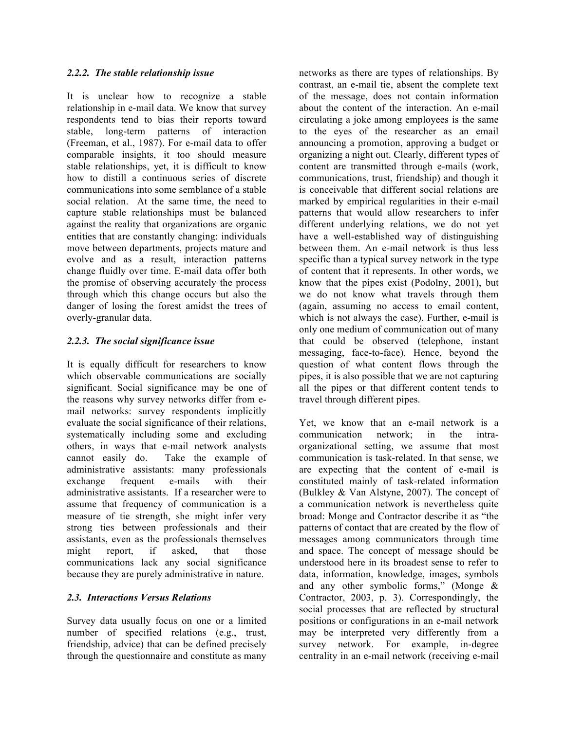#### *2.2.2. The stable relationship issue*

It is unclear how to recognize a stable relationship in e-mail data. We know that survey respondents tend to bias their reports toward stable, long-term patterns of interaction (Freeman, et al., 1987). For e-mail data to offer comparable insights, it too should measure stable relationships, yet, it is difficult to know how to distill a continuous series of discrete communications into some semblance of a stable social relation. At the same time, the need to capture stable relationships must be balanced against the reality that organizations are organic entities that are constantly changing: individuals move between departments, projects mature and evolve and as a result, interaction patterns change fluidly over time. E-mail data offer both the promise of observing accurately the process through which this change occurs but also the danger of losing the forest amidst the trees of overly-granular data.

# *2.2.3. The social significance issue*

It is equally difficult for researchers to know which observable communications are socially significant. Social significance may be one of the reasons why survey networks differ from email networks: survey respondents implicitly evaluate the social significance of their relations, systematically including some and excluding others, in ways that e-mail network analysts cannot easily do. Take the example of administrative assistants: many professionals exchange frequent e-mails with their administrative assistants. If a researcher were to assume that frequency of communication is a measure of tie strength, she might infer very strong ties between professionals and their assistants, even as the professionals themselves might report, if asked, that those communications lack any social significance because they are purely administrative in nature.

#### *2.3. Interactions Versus Relations*

Survey data usually focus on one or a limited number of specified relations (e.g., trust, friendship, advice) that can be defined precisely through the questionnaire and constitute as many networks as there are types of relationships. By contrast, an e-mail tie, absent the complete text of the message, does not contain information about the content of the interaction. An e-mail circulating a joke among employees is the same to the eyes of the researcher as an email announcing a promotion, approving a budget or organizing a night out. Clearly, different types of content are transmitted through e-mails (work, communications, trust, friendship) and though it is conceivable that different social relations are marked by empirical regularities in their e-mail patterns that would allow researchers to infer different underlying relations, we do not yet have a well-established way of distinguishing between them. An e-mail network is thus less specific than a typical survey network in the type of content that it represents. In other words, we know that the pipes exist (Podolny, 2001), but we do not know what travels through them (again, assuming no access to email content, which is not always the case). Further, e-mail is only one medium of communication out of many that could be observed (telephone, instant messaging, face-to-face). Hence, beyond the question of what content flows through the pipes, it is also possible that we are not capturing all the pipes or that different content tends to travel through different pipes.

Yet, we know that an e-mail network is a communication network; in the intraorganizational setting, we assume that most communication is task-related. In that sense, we are expecting that the content of e-mail is constituted mainly of task-related information (Bulkley & Van Alstyne, 2007). The concept of a communication network is nevertheless quite broad: Monge and Contractor describe it as "the patterns of contact that are created by the flow of messages among communicators through time and space. The concept of message should be understood here in its broadest sense to refer to data, information, knowledge, images, symbols and any other symbolic forms," (Monge & Contractor, 2003, p. 3). Correspondingly, the social processes that are reflected by structural positions or configurations in an e-mail network may be interpreted very differently from a survey network. For example, in-degree centrality in an e-mail network (receiving e-mail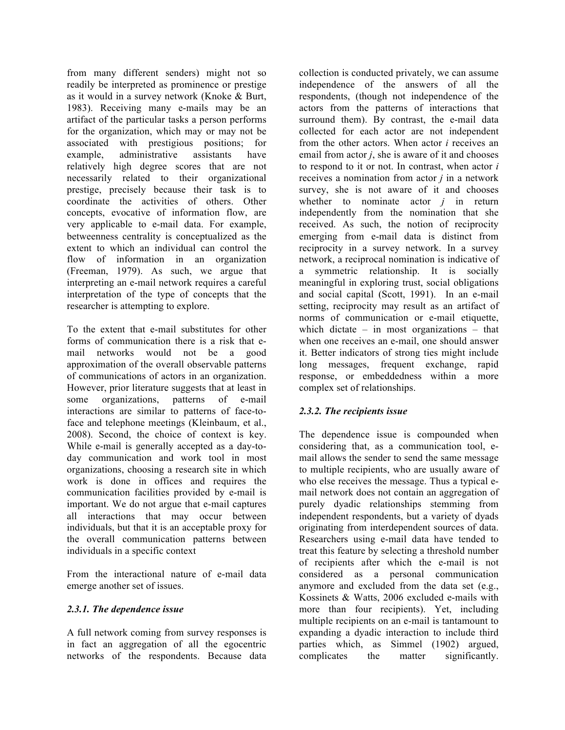from many different senders) might not so readily be interpreted as prominence or prestige as it would in a survey network (Knoke & Burt, 1983). Receiving many e-mails may be an artifact of the particular tasks a person performs for the organization, which may or may not be associated with prestigious positions; for example, administrative assistants have relatively high degree scores that are not necessarily related to their organizational prestige, precisely because their task is to coordinate the activities of others. Other concepts, evocative of information flow, are very applicable to e-mail data. For example, betweenness centrality is conceptualized as the extent to which an individual can control the flow of information in an organization (Freeman, 1979). As such, we argue that interpreting an e-mail network requires a careful interpretation of the type of concepts that the researcher is attempting to explore.

To the extent that e-mail substitutes for other forms of communication there is a risk that email networks would not be a good approximation of the overall observable patterns of communications of actors in an organization. However, prior literature suggests that at least in some organizations, patterns of e-mail interactions are similar to patterns of face-toface and telephone meetings (Kleinbaum, et al., 2008). Second, the choice of context is key. While e-mail is generally accepted as a day-today communication and work tool in most organizations, choosing a research site in which work is done in offices and requires the communication facilities provided by e-mail is important. We do not argue that e-mail captures all interactions that may occur between individuals, but that it is an acceptable proxy for the overall communication patterns between individuals in a specific context

From the interactional nature of e-mail data emerge another set of issues.

#### *2.3.1. The dependence issue*

A full network coming from survey responses is in fact an aggregation of all the egocentric networks of the respondents. Because data collection is conducted privately, we can assume independence of the answers of all the respondents, (though not independence of the actors from the patterns of interactions that surround them). By contrast, the e-mail data collected for each actor are not independent from the other actors. When actor *i* receives an email from actor *j*, she is aware of it and chooses to respond to it or not. In contrast, when actor *i*  receives a nomination from actor *j* in a network survey, she is not aware of it and chooses whether to nominate actor  $j$  in return independently from the nomination that she received. As such, the notion of reciprocity emerging from e-mail data is distinct from reciprocity in a survey network. In a survey network, a reciprocal nomination is indicative of a symmetric relationship. It is socially meaningful in exploring trust, social obligations and social capital (Scott, 1991). In an e-mail setting, reciprocity may result as an artifact of norms of communication or e-mail etiquette, which dictate – in most organizations – that when one receives an e-mail, one should answer it. Better indicators of strong ties might include long messages, frequent exchange, rapid response, or embeddedness within a more complex set of relationships.

# *2.3.2. The recipients issue*

The dependence issue is compounded when considering that, as a communication tool, email allows the sender to send the same message to multiple recipients, who are usually aware of who else receives the message. Thus a typical email network does not contain an aggregation of purely dyadic relationships stemming from independent respondents, but a variety of dyads originating from interdependent sources of data. Researchers using e-mail data have tended to treat this feature by selecting a threshold number of recipients after which the e-mail is not considered as a personal communication anymore and excluded from the data set (e.g., Kossinets & Watts, 2006 excluded e-mails with more than four recipients). Yet, including multiple recipients on an e-mail is tantamount to expanding a dyadic interaction to include third parties which, as Simmel (1902) argued, complicates the matter significantly.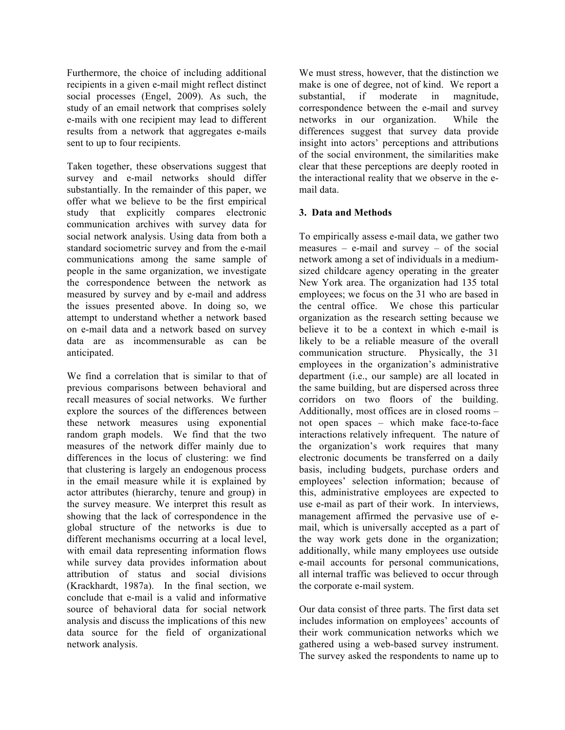Furthermore, the choice of including additional recipients in a given e-mail might reflect distinct social processes (Engel, 2009). As such, the study of an email network that comprises solely e-mails with one recipient may lead to different results from a network that aggregates e-mails sent to up to four recipients.

Taken together, these observations suggest that survey and e-mail networks should differ substantially. In the remainder of this paper, we offer what we believe to be the first empirical study that explicitly compares electronic communication archives with survey data for social network analysis. Using data from both a standard sociometric survey and from the e-mail communications among the same sample of people in the same organization, we investigate the correspondence between the network as measured by survey and by e-mail and address the issues presented above. In doing so, we attempt to understand whether a network based on e-mail data and a network based on survey data are as incommensurable as can be anticipated.

We find a correlation that is similar to that of previous comparisons between behavioral and recall measures of social networks. We further explore the sources of the differences between these network measures using exponential random graph models. We find that the two measures of the network differ mainly due to differences in the locus of clustering: we find that clustering is largely an endogenous process in the email measure while it is explained by actor attributes (hierarchy, tenure and group) in the survey measure. We interpret this result as showing that the lack of correspondence in the global structure of the networks is due to different mechanisms occurring at a local level, with email data representing information flows while survey data provides information about attribution of status and social divisions (Krackhardt, 1987a). In the final section, we conclude that e-mail is a valid and informative source of behavioral data for social network analysis and discuss the implications of this new data source for the field of organizational network analysis.

We must stress, however, that the distinction we make is one of degree, not of kind. We report a substantial, if moderate in magnitude, correspondence between the e-mail and survey networks in our organization. While the differences suggest that survey data provide insight into actors' perceptions and attributions of the social environment, the similarities make clear that these perceptions are deeply rooted in the interactional reality that we observe in the email data.

### **3. Data and Methods**

To empirically assess e-mail data, we gather two measures – e-mail and survey – of the social network among a set of individuals in a mediumsized childcare agency operating in the greater New York area. The organization had 135 total employees; we focus on the 31 who are based in the central office. We chose this particular organization as the research setting because we believe it to be a context in which e-mail is likely to be a reliable measure of the overall communication structure. Physically, the 31 employees in the organization's administrative department (i.e., our sample) are all located in the same building, but are dispersed across three corridors on two floors of the building. Additionally, most offices are in closed rooms – not open spaces – which make face-to-face interactions relatively infrequent. The nature of the organization's work requires that many electronic documents be transferred on a daily basis, including budgets, purchase orders and employees' selection information; because of this, administrative employees are expected to use e-mail as part of their work. In interviews, management affirmed the pervasive use of email, which is universally accepted as a part of the way work gets done in the organization; additionally, while many employees use outside e-mail accounts for personal communications, all internal traffic was believed to occur through the corporate e-mail system.

Our data consist of three parts. The first data set includes information on employees' accounts of their work communication networks which we gathered using a web-based survey instrument. The survey asked the respondents to name up to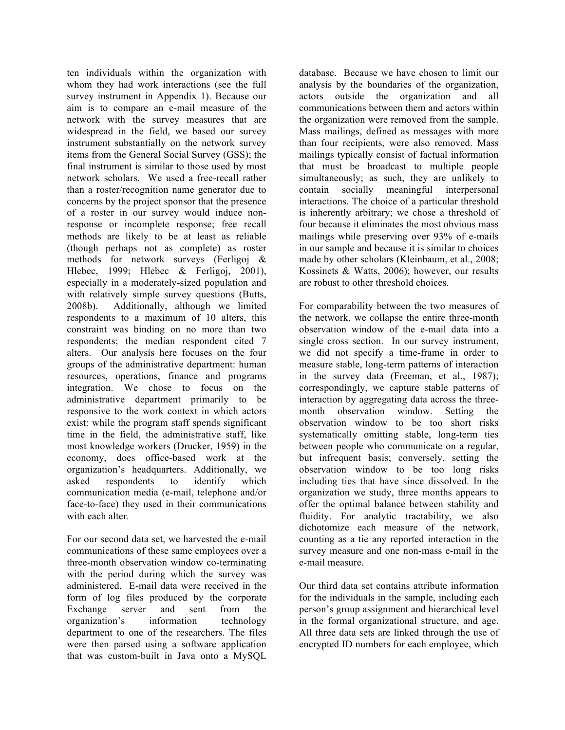ten individuals within the organization with whom they had work interactions (see the full survey instrument in Appendix 1). Because our aim is to compare an e-mail measure of the network with the survey measures that are widespread in the field, we based our survey instrument substantially on the network survey items from the General Social Survey (GSS); the final instrument is similar to those used by most network scholars. We used a free-recall rather than a roster/recognition name generator due to concerns by the project sponsor that the presence of a roster in our survey would induce nonresponse or incomplete response; free recall methods are likely to be at least as reliable (though perhaps not as complete) as roster methods for network surveys (Ferligoj & Hlebec, 1999; Hlebec & Ferligoj, 2001), especially in a moderately-sized population and with relatively simple survey questions (Butts, 2008b). Additionally, although we limited respondents to a maximum of 10 alters, this constraint was binding on no more than two respondents; the median respondent cited 7 alters. Our analysis here focuses on the four groups of the administrative department: human resources, operations, finance and programs integration. We chose to focus on the administrative department primarily to be responsive to the work context in which actors exist: while the program staff spends significant time in the field, the administrative staff, like most knowledge workers (Drucker, 1959) in the economy, does office-based work at the organization's headquarters. Additionally, we asked respondents to identify which communication media (e-mail, telephone and/or face-to-face) they used in their communications with each alter.

For our second data set, we harvested the e-mail communications of these same employees over a three-month observation window co-terminating with the period during which the survey was administered. E-mail data were received in the form of log files produced by the corporate Exchange server and sent from the organization's information technology department to one of the researchers. The files were then parsed using a software application that was custom-built in Java onto a MySQL database. Because we have chosen to limit our analysis by the boundaries of the organization, actors outside the organization and all communications between them and actors within the organization were removed from the sample. Mass mailings, defined as messages with more than four recipients, were also removed. Mass mailings typically consist of factual information that must be broadcast to multiple people simultaneously; as such, they are unlikely to contain socially meaningful interpersonal interactions. The choice of a particular threshold is inherently arbitrary; we chose a threshold of four because it eliminates the most obvious mass mailings while preserving over 93% of e-mails in our sample and because it is similar to choices made by other scholars (Kleinbaum, et al., 2008; Kossinets & Watts, 2006); however, our results are robust to other threshold choices.

For comparability between the two measures of the network, we collapse the entire three-month observation window of the e-mail data into a single cross section. In our survey instrument, we did not specify a time-frame in order to measure stable, long-term patterns of interaction in the survey data (Freeman, et al., 1987); correspondingly, we capture stable patterns of interaction by aggregating data across the threemonth observation window. Setting the observation window to be too short risks systematically omitting stable, long-term ties between people who communicate on a regular, but infrequent basis; conversely, setting the observation window to be too long risks including ties that have since dissolved. In the organization we study, three months appears to offer the optimal balance between stability and fluidity. For analytic tractability, we also dichotomize each measure of the network, counting as a tie any reported interaction in the survey measure and one non-mass e-mail in the e-mail measure.

Our third data set contains attribute information for the individuals in the sample, including each person's group assignment and hierarchical level in the formal organizational structure, and age. All three data sets are linked through the use of encrypted ID numbers for each employee, which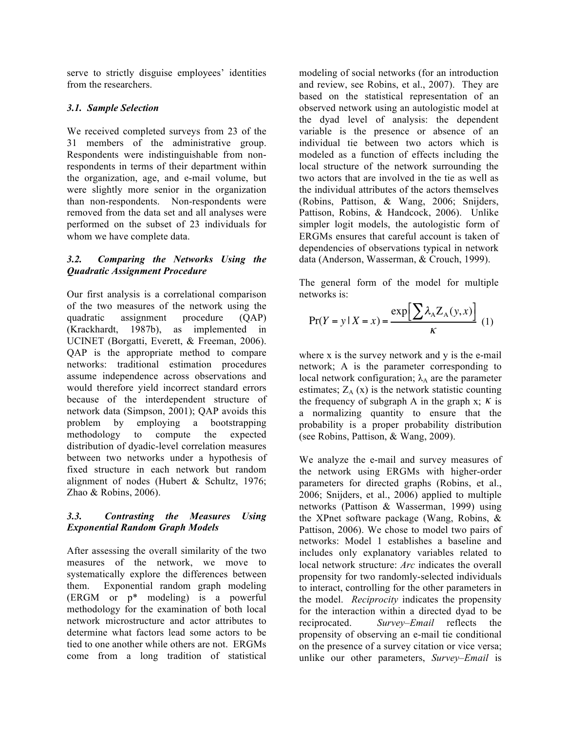serve to strictly disguise employees' identities from the researchers.

### *3.1. Sample Selection*

We received completed surveys from 23 of the 31 members of the administrative group. Respondents were indistinguishable from nonrespondents in terms of their department within the organization, age, and e-mail volume, but were slightly more senior in the organization than non-respondents. Non-respondents were removed from the data set and all analyses were performed on the subset of 23 individuals for whom we have complete data.

### *3.2. Comparing the Networks Using the Quadratic Assignment Procedure*

Our first analysis is a correlational comparison of the two measures of the network using the quadratic assignment procedure (QAP) (Krackhardt, 1987b), as implemented in UCINET (Borgatti, Everett, & Freeman, 2006). QAP is the appropriate method to compare networks: traditional estimation procedures assume independence across observations and would therefore yield incorrect standard errors because of the interdependent structure of network data (Simpson, 2001); QAP avoids this problem by employing a bootstrapping methodology to compute the expected distribution of dyadic-level correlation measures between two networks under a hypothesis of fixed structure in each network but random alignment of nodes (Hubert & Schultz, 1976; Zhao & Robins, 2006).

### *3.3. Contrasting the Measures Using Exponential Random Graph Models*

After assessing the overall similarity of the two measures of the network, we move to systematically explore the differences between them. Exponential random graph modeling (ERGM or p\* modeling) is a powerful methodology for the examination of both local network microstructure and actor attributes to determine what factors lead some actors to be tied to one another while others are not. ERGMs come from a long tradition of statistical modeling of social networks (for an introduction and review, see Robins, et al., 2007). They are based on the statistical representation of an observed network using an autologistic model at the dyad level of analysis: the dependent variable is the presence or absence of an individual tie between two actors which is modeled as a function of effects including the local structure of the network surrounding the two actors that are involved in the tie as well as the individual attributes of the actors themselves (Robins, Pattison, & Wang, 2006; Snijders, Pattison, Robins, & Handcock, 2006). Unlike simpler logit models, the autologistic form of ERGMs ensures that careful account is taken of dependencies of observations typical in network data (Anderson, Wasserman, & Crouch, 1999).

The general form of the model for multiple networks is:

$$
\Pr(Y = y \mid X = x) = \frac{\exp\left[\sum_{A} \lambda_A Z_A(y, x)\right]}{\kappa} \tag{1}
$$

where  $x$  is the survey network and  $y$  is the e-mail network; A is the parameter corresponding to local network configuration;  $\lambda_A$  are the parameter estimates;  $Z_A(x)$  is the network statistic counting the frequency of subgraph A in the graph  $x$ ;  $K$  is a normalizing quantity to ensure that the probability is a proper probability distribution (see Robins, Pattison, & Wang, 2009).

We analyze the e-mail and survey measures of the network using ERGMs with higher-order parameters for directed graphs (Robins, et al., 2006; Snijders, et al., 2006) applied to multiple networks (Pattison & Wasserman, 1999) using the XPnet software package (Wang, Robins, & Pattison, 2006). We chose to model two pairs of networks: Model 1 establishes a baseline and includes only explanatory variables related to local network structure: *Arc* indicates the overall propensity for two randomly-selected individuals to interact, controlling for the other parameters in the model. *Reciprocity* indicates the propensity for the interaction within a directed dyad to be reciprocated. *Survey–Email* reflects the propensity of observing an e-mail tie conditional on the presence of a survey citation or vice versa; unlike our other parameters, *Survey–Email* is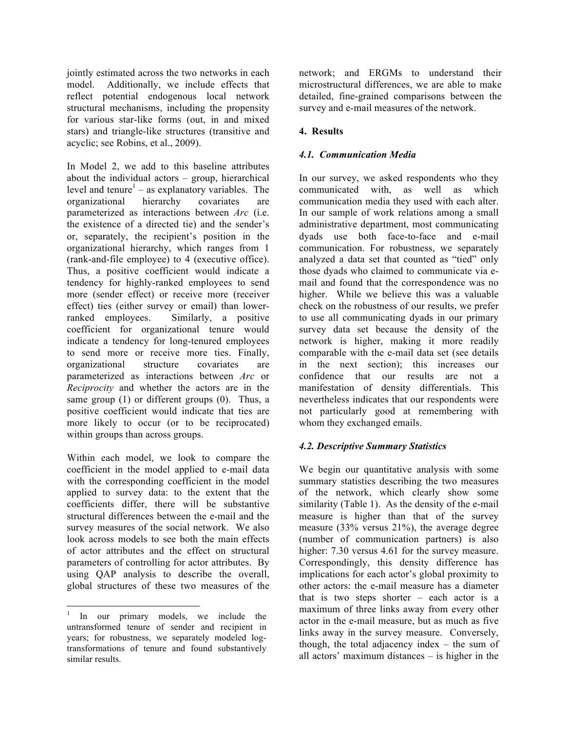jointly estimated across the two networks in each model. Additionally, we include effects that reflect potential endogenous local network structural mechanisms, including the propensity for various star-like forms (out, in and mixed stars) and triangle-like structures (transitive and acyclic; see Robins, et al., 2009).

In Model 2, we add to this baseline attributes about the individual actors – group, hierarchical level and tenure<sup>1</sup> – as explanatory variables. The organizational hierarchy covariates are parameterized as interactions between *Arc* (i.e. the existence of a directed tie) and the sender's or, separately, the recipient's position in the organizational hierarchy, which ranges from 1 (rank-and-file employee) to 4 (executive office). Thus, a positive coefficient would indicate a tendency for highly-ranked employees to send more (sender effect) or receive more (receiver effect) ties (either survey or email) than lowerranked employees. Similarly, a positive coefficient for organizational tenure would indicate a tendency for long-tenured employees to send more or receive more ties. Finally, organizational structure covariates are parameterized as interactions between *Arc* or *Reciprocity* and whether the actors are in the same group (1) or different groups (0). Thus, a positive coefficient would indicate that ties are more likely to occur (or to be reciprocated) within groups than across groups.

Within each model, we look to compare the coefficient in the model applied to e-mail data with the corresponding coefficient in the model applied to survey data: to the extent that the coefficients differ, there will be substantive structural differences between the e-mail and the survey measures of the social network. We also look across models to see both the main effects of actor attributes and the effect on structural parameters of controlling for actor attributes. By using QAP analysis to describe the overall, global structures of these two measures of the network; and ERGMs to understand their microstructural differences, we are able to make detailed, fine-grained comparisons between the survey and e-mail measures of the network.

# **4. Results**

# *4.1. Communication Media*

In our survey, we asked respondents who they communicated with, as well as which communication media they used with each alter. In our sample of work relations among a small administrative department, most communicating dyads use both face-to-face and e-mail communication. For robustness, we separately analyzed a data set that counted as "tied" only those dyads who claimed to communicate via email and found that the correspondence was no higher. While we believe this was a valuable check on the robustness of our results, we prefer to use all communicating dyads in our primary survey data set because the density of the network is higher, making it more readily comparable with the e-mail data set (see details in the next section); this increases our confidence that our results are not a manifestation of density differentials. This nevertheless indicates that our respondents were not particularly good at remembering with whom they exchanged emails.

# *4.2. Descriptive Summary Statistics*

We begin our quantitative analysis with some summary statistics describing the two measures of the network, which clearly show some similarity (Table 1). As the density of the e-mail measure is higher than that of the survey measure (33% versus 21%), the average degree (number of communication partners) is also higher: 7.30 versus 4.61 for the survey measure. Correspondingly, this density difference has implications for each actor's global proximity to other actors: the e-mail measure has a diameter that is two steps shorter – each actor is a maximum of three links away from every other actor in the e-mail measure, but as much as five links away in the survey measure. Conversely, though, the total adjacency index – the sum of all actors' maximum distances – is higher in the

In our primary models, we include the untransformed tenure of sender and recipient in years; for robustness, we separately modeled logtransformations of tenure and found substantively similar results.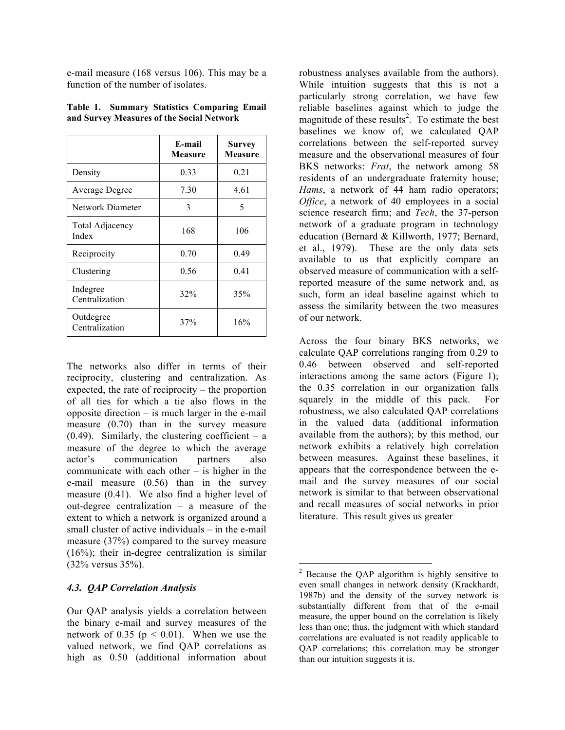e-mail measure (168 versus 106). This may be a function of the number of isolates.

|                                 | E-mail<br><b>Measure</b> | <b>Survey</b><br><b>Measure</b> |
|---------------------------------|--------------------------|---------------------------------|
| Density                         | 0.33                     | 0.21                            |
| Average Degree                  | 7.30                     | 4.61                            |
| Network Diameter                | 3                        | 5                               |
| <b>Total Adjacency</b><br>Index | 168                      | 106                             |
| Reciprocity                     | 0.70                     | 0.49                            |
| Clustering                      | 0.56                     | 0.41                            |
| Indegree<br>Centralization      | 32%                      | 35%                             |
| Outdegree<br>Centralization     | 37%                      | 16%                             |

**Table 1. Summary Statistics Comparing Email and Survey Measures of the Social Network**

The networks also differ in terms of their reciprocity, clustering and centralization. As expected, the rate of reciprocity – the proportion of all ties for which a tie also flows in the opposite direction – is much larger in the e-mail measure (0.70) than in the survey measure  $(0.49)$ . Similarly, the clustering coefficient – a measure of the degree to which the average actor's communication partners also communicate with each other – is higher in the e-mail measure (0.56) than in the survey measure (0.41). We also find a higher level of out-degree centralization – a measure of the extent to which a network is organized around a small cluster of active individuals – in the e-mail measure (37%) compared to the survey measure (16%); their in-degree centralization is similar (32% versus 35%).

#### *4.3. QAP Correlation Analysis*

Our QAP analysis yields a correlation between the binary e-mail and survey measures of the network of 0.35 ( $p < 0.01$ ). When we use the valued network, we find QAP correlations as high as 0.50 (additional information about robustness analyses available from the authors). While intuition suggests that this is not a particularly strong correlation, we have few reliable baselines against which to judge the magnitude of these results<sup>2</sup>. To estimate the best baselines we know of, we calculated QAP correlations between the self-reported survey measure and the observational measures of four BKS networks: *Frat*, the network among 58 residents of an undergraduate fraternity house; *Hams*, a network of 44 ham radio operators; *Office*, a network of 40 employees in a social science research firm; and *Tech*, the 37-person network of a graduate program in technology education (Bernard & Killworth, 1977; Bernard, et al., 1979). These are the only data sets available to us that explicitly compare an observed measure of communication with a selfreported measure of the same network and, as such, form an ideal baseline against which to assess the similarity between the two measures of our network.

Across the four binary BKS networks, we calculate QAP correlations ranging from 0.29 to 0.46 between observed and self-reported interactions among the same actors (Figure 1); the 0.35 correlation in our organization falls squarely in the middle of this pack. For robustness, we also calculated QAP correlations in the valued data (additional information available from the authors); by this method, our network exhibits a relatively high correlation between measures. Against these baselines, it appears that the correspondence between the email and the survey measures of our social network is similar to that between observational and recall measures of social networks in prior literature. This result gives us greater

 $2$  Because the QAP algorithm is highly sensitive to even small changes in network density (Krackhardt, 1987b) and the density of the survey network is substantially different from that of the e-mail measure, the upper bound on the correlation is likely less than one; thus, the judgment with which standard correlations are evaluated is not readily applicable to QAP correlations; this correlation may be stronger than our intuition suggests it is.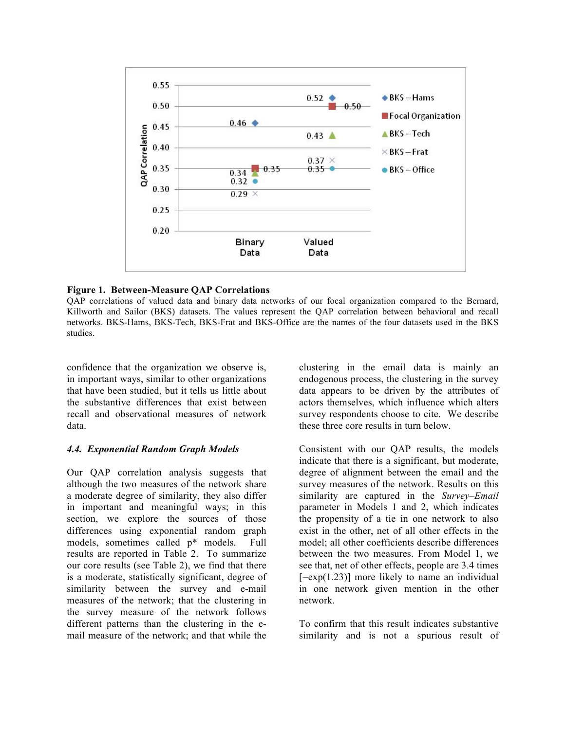

#### **Figure 1. Between-Measure QAP Correlations**

QAP correlations of valued data and binary data networks of our focal organization compared to the Bernard, Killworth and Sailor (BKS) datasets. The values represent the QAP correlation between behavioral and recall networks. BKS-Hams, BKS-Tech, BKS-Frat and BKS-Office are the names of the four datasets used in the BKS studies.

confidence that the organization we observe is, in important ways, similar to other organizations that have been studied, but it tells us little about the substantive differences that exist between recall and observational measures of network data.

#### *4.4. Exponential Random Graph Models*

Our QAP correlation analysis suggests that although the two measures of the network share a moderate degree of similarity, they also differ in important and meaningful ways; in this section, we explore the sources of those differences using exponential random graph models, sometimes called p\* models. Full results are reported in Table 2. To summarize our core results (see Table 2), we find that there is a moderate, statistically significant, degree of similarity between the survey and e-mail measures of the network; that the clustering in the survey measure of the network follows different patterns than the clustering in the email measure of the network; and that while the

clustering in the email data is mainly an endogenous process, the clustering in the survey data appears to be driven by the attributes of actors themselves, which influence which alters survey respondents choose to cite. We describe these three core results in turn below.

Consistent with our QAP results, the models indicate that there is a significant, but moderate, degree of alignment between the email and the survey measures of the network. Results on this similarity are captured in the *Survey–Email* parameter in Models 1 and 2, which indicates the propensity of a tie in one network to also exist in the other, net of all other effects in the model; all other coefficients describe differences between the two measures. From Model 1, we see that, net of other effects, people are 3.4 times  $[=exp(1.23)]$  more likely to name an individual in one network given mention in the other network.

To confirm that this result indicates substantive similarity and is not a spurious result of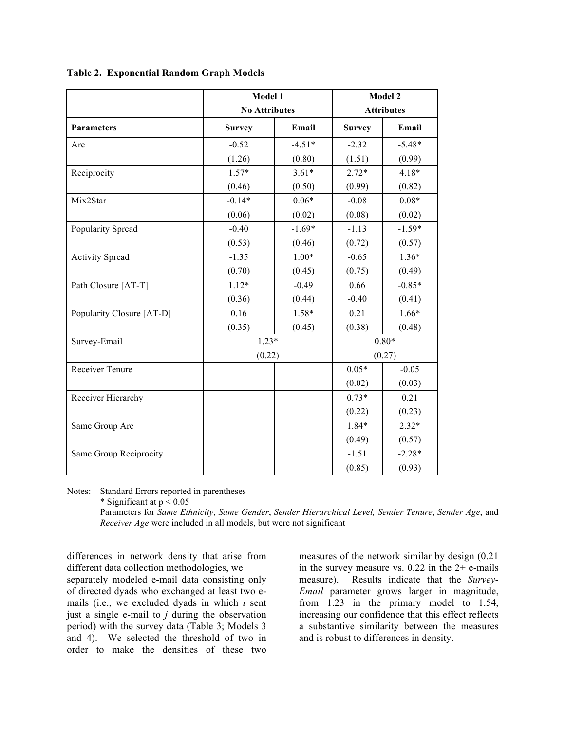|                           | Model 1<br><b>No Attributes</b> |          | Model 2<br><b>Attributes</b> |          |
|---------------------------|---------------------------------|----------|------------------------------|----------|
| <b>Parameters</b>         | <b>Survey</b>                   | Email    | <b>Survey</b>                | Email    |
| Arc                       | $-0.52$                         | $-4.51*$ | $-2.32$                      | $-5.48*$ |
|                           | (1.26)                          | (0.80)   | (1.51)                       | (0.99)   |
| Reciprocity               | $1.57*$                         | $3.61*$  | $2.72*$                      | $4.18*$  |
|                           | (0.46)                          | (0.50)   | (0.99)                       | (0.82)   |
| Mix2Star                  | $-0.14*$                        | $0.06*$  | $-0.08$                      | $0.08*$  |
|                           | (0.06)                          | (0.02)   | (0.08)                       | (0.02)   |
| Popularity Spread         | $-0.40$                         | $-1.69*$ | $-1.13$                      | $-1.59*$ |
|                           | (0.53)                          | (0.46)   | (0.72)                       | (0.57)   |
| <b>Activity Spread</b>    | $-1.35$                         | $1.00*$  | $-0.65$                      | $1.36*$  |
|                           | (0.70)                          | (0.45)   | (0.75)                       | (0.49)   |
| Path Closure [AT-T]       | $1.12*$                         | $-0.49$  | 0.66                         | $-0.85*$ |
|                           | (0.36)                          | (0.44)   | $-0.40$                      | (0.41)   |
| Popularity Closure [AT-D] | 0.16                            | $1.58*$  | 0.21                         | $1.66*$  |
|                           | (0.35)                          | (0.45)   | (0.38)                       | (0.48)   |
| Survey-Email              | $1.23*$                         |          | $0.80*$                      |          |
|                           | (0.22)                          |          | (0.27)                       |          |
| Receiver Tenure           |                                 |          | $0.05*$                      | $-0.05$  |
|                           |                                 |          | (0.02)                       | (0.03)   |
| Receiver Hierarchy        |                                 |          | $0.73*$                      | 0.21     |
|                           |                                 |          | (0.22)                       | (0.23)   |
| Same Group Arc            |                                 |          | 1.84*                        | $2.32*$  |
|                           |                                 |          | (0.49)                       | (0.57)   |
| Same Group Reciprocity    |                                 |          | $-1.51$                      | $-2.28*$ |
|                           |                                 |          | (0.85)                       | (0.93)   |

**Table 2. Exponential Random Graph Models**

Notes: Standard Errors reported in parentheses

\* Significant at  $p < 0.05$ 

Parameters for *Same Ethnicity*, *Same Gender*, *Sender Hierarchical Level, Sender Tenure*, *Sender Age*, and *Receiver Age* were included in all models, but were not significant

differences in network density that arise from different data collection methodologies, we separately modeled e-mail data consisting only of directed dyads who exchanged at least two emails (i.e., we excluded dyads in which *i* sent just a single e-mail to *j* during the observation period) with the survey data (Table 3; Models 3 and 4). We selected the threshold of two in order to make the densities of these two measures of the network similar by design (0.21 in the survey measure vs.  $0.22$  in the  $2+$  e-mails measure). Results indicate that the *Survey-Email* parameter grows larger in magnitude, from 1.23 in the primary model to 1.54, increasing our confidence that this effect reflects a substantive similarity between the measures and is robust to differences in density.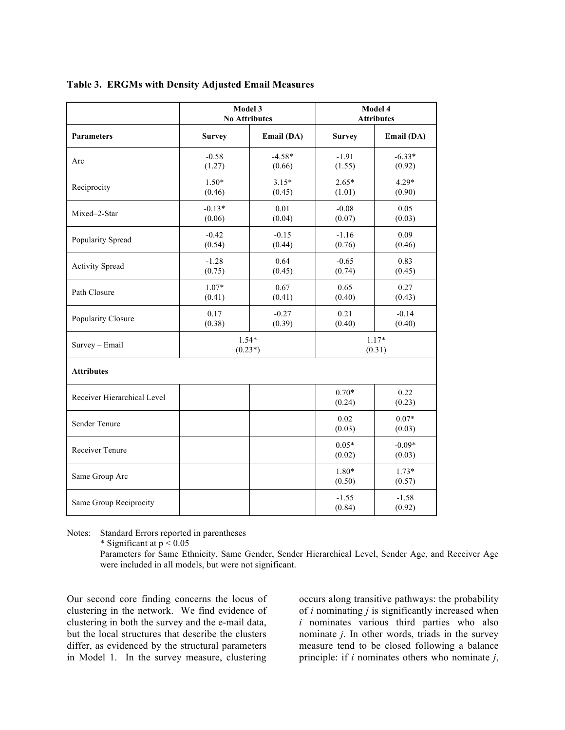|                             | Model 3<br><b>No Attributes</b> |                    | Model 4<br><b>Attributes</b> |                    |
|-----------------------------|---------------------------------|--------------------|------------------------------|--------------------|
| <b>Parameters</b>           | <b>Survey</b>                   | Email (DA)         | <b>Survey</b>                | Email (DA)         |
| Arc                         | $-0.58$<br>(1.27)               | $-4.58*$<br>(0.66) | $-1.91$<br>(1.55)            | $-6.33*$<br>(0.92) |
| Reciprocity                 | $1.50*$<br>(0.46)               | $3.15*$<br>(0.45)  | $2.65*$<br>(1.01)            | $4.29*$<br>(0.90)  |
| Mixed-2-Star                | $-0.13*$<br>(0.06)              | 0.01<br>(0.04)     | $-0.08$<br>(0.07)            | 0.05<br>(0.03)     |
| Popularity Spread           | $-0.42$<br>(0.54)               | $-0.15$<br>(0.44)  | $-1.16$<br>(0.76)            | 0.09<br>(0.46)     |
| <b>Activity Spread</b>      | $-1.28$<br>(0.75)               | 0.64<br>(0.45)     | $-0.65$<br>(0.74)            | 0.83<br>(0.45)     |
| Path Closure                | $1.07*$<br>(0.41)               | 0.67<br>(0.41)     | 0.65<br>(0.40)               | 0.27<br>(0.43)     |
| Popularity Closure          | 0.17<br>(0.38)                  | $-0.27$<br>(0.39)  | 0.21<br>(0.40)               | $-0.14$<br>(0.40)  |
| Survey - Email              | $1.54*$<br>$(0.23*)$            |                    | $1.17*$<br>(0.31)            |                    |
| <b>Attributes</b>           |                                 |                    |                              |                    |
| Receiver Hierarchical Level |                                 |                    | $0.70*$<br>(0.24)            | 0.22<br>(0.23)     |
| Sender Tenure               |                                 |                    | 0.02<br>(0.03)               | $0.07*$<br>(0.03)  |
| Receiver Tenure             |                                 |                    | $0.05*$<br>(0.02)            | $-0.09*$<br>(0.03) |
| Same Group Arc              |                                 |                    | 1.80*<br>(0.50)              | $1.73*$<br>(0.57)  |
| Same Group Reciprocity      |                                 |                    | $-1.55$<br>(0.84)            | $-1.58$<br>(0.92)  |

**Table 3. ERGMs with Density Adjusted Email Measures**

Notes: Standard Errors reported in parentheses

\* Significant at  $p < 0.05$ 

Parameters for Same Ethnicity, Same Gender, Sender Hierarchical Level, Sender Age, and Receiver Age were included in all models, but were not significant.

Our second core finding concerns the locus of clustering in the network. We find evidence of clustering in both the survey and the e-mail data, but the local structures that describe the clusters differ, as evidenced by the structural parameters in Model 1. In the survey measure, clustering

occurs along transitive pathways: the probability of *i* nominating *j* is significantly increased when *i* nominates various third parties who also nominate *j*. In other words, triads in the survey measure tend to be closed following a balance principle: if *i* nominates others who nominate *j*,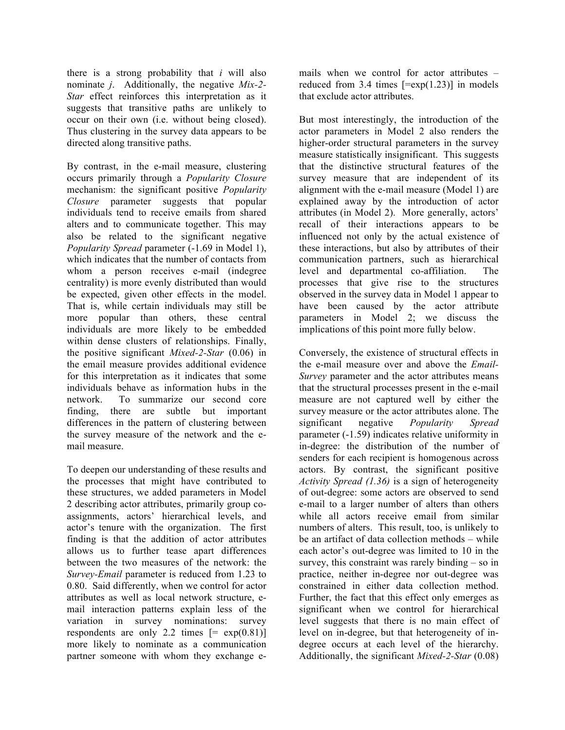there is a strong probability that *i* will also nominate *j*. Additionally, the negative *Mix-2- Star* effect reinforces this interpretation as it suggests that transitive paths are unlikely to occur on their own (i.e. without being closed). Thus clustering in the survey data appears to be directed along transitive paths.

By contrast, in the e-mail measure, clustering occurs primarily through a *Popularity Closure* mechanism: the significant positive *Popularity Closure* parameter suggests that popular individuals tend to receive emails from shared alters and to communicate together. This may also be related to the significant negative *Popularity Spread* parameter (-1.69 in Model 1), which indicates that the number of contacts from whom a person receives e-mail (indegree centrality) is more evenly distributed than would be expected, given other effects in the model. That is, while certain individuals may still be more popular than others, these central individuals are more likely to be embedded within dense clusters of relationships. Finally, the positive significant *Mixed-2-Star* (0.06) in the email measure provides additional evidence for this interpretation as it indicates that some individuals behave as information hubs in the network. To summarize our second core finding, there are subtle but important differences in the pattern of clustering between the survey measure of the network and the email measure.

To deepen our understanding of these results and the processes that might have contributed to these structures, we added parameters in Model 2 describing actor attributes, primarily group coassignments, actors' hierarchical levels, and actor's tenure with the organization. The first finding is that the addition of actor attributes allows us to further tease apart differences between the two measures of the network: the *Survey-Email* parameter is reduced from 1.23 to 0.80. Said differently, when we control for actor attributes as well as local network structure, email interaction patterns explain less of the variation in survey nominations: survey respondents are only 2.2 times  $[= \exp(0.81)]$ more likely to nominate as a communication partner someone with whom they exchange emails when we control for actor attributes – reduced from 3.4 times  $[=exp(1.23)]$  in models that exclude actor attributes.

But most interestingly, the introduction of the actor parameters in Model 2 also renders the higher-order structural parameters in the survey measure statistically insignificant. This suggests that the distinctive structural features of the survey measure that are independent of its alignment with the e-mail measure (Model 1) are explained away by the introduction of actor attributes (in Model 2). More generally, actors' recall of their interactions appears to be influenced not only by the actual existence of these interactions, but also by attributes of their communication partners, such as hierarchical level and departmental co-affiliation. The processes that give rise to the structures observed in the survey data in Model 1 appear to have been caused by the actor attribute parameters in Model 2; we discuss the implications of this point more fully below.

Conversely, the existence of structural effects in the e-mail measure over and above the *Email-Survey* parameter and the actor attributes means that the structural processes present in the e-mail measure are not captured well by either the survey measure or the actor attributes alone. The significant negative *Popularity Spread*  parameter (-1.59) indicates relative uniformity in in-degree: the distribution of the number of senders for each recipient is homogenous across actors. By contrast, the significant positive *Activity Spread (1.36)* is a sign of heterogeneity of out-degree: some actors are observed to send e-mail to a larger number of alters than others while all actors receive email from similar numbers of alters. This result, too, is unlikely to be an artifact of data collection methods – while each actor's out-degree was limited to 10 in the survey, this constraint was rarely binding – so in practice, neither in-degree nor out-degree was constrained in either data collection method. Further, the fact that this effect only emerges as significant when we control for hierarchical level suggests that there is no main effect of level on in-degree, but that heterogeneity of indegree occurs at each level of the hierarchy. Additionally, the significant *Mixed-2-Star* (0.08)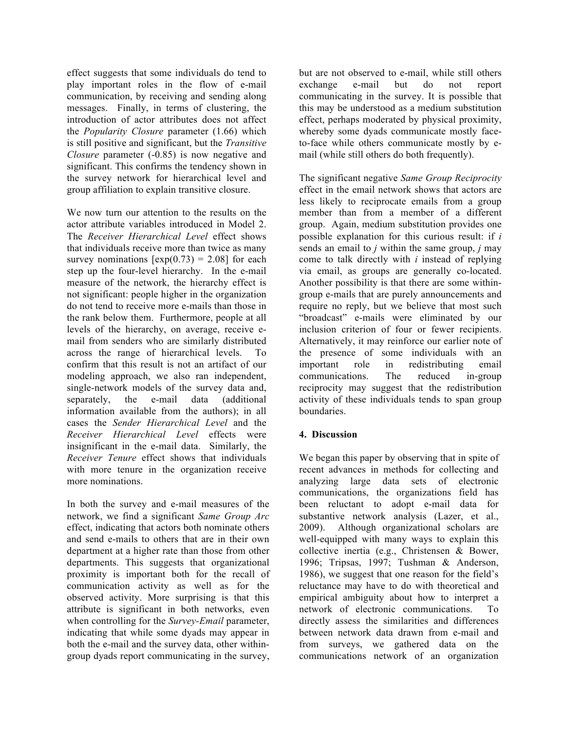effect suggests that some individuals do tend to play important roles in the flow of e-mail communication, by receiving and sending along messages. Finally, in terms of clustering, the introduction of actor attributes does not affect the *Popularity Closure* parameter (1.66) which is still positive and significant, but the *Transitive Closure* parameter (-0.85) is now negative and significant. This confirms the tendency shown in the survey network for hierarchical level and group affiliation to explain transitive closure.

We now turn our attention to the results on the actor attribute variables introduced in Model 2. The *Receiver Hierarchical Level* effect shows that individuals receive more than twice as many survey nominations  $[\exp(0.73) = 2.08]$  for each step up the four-level hierarchy. In the e-mail measure of the network, the hierarchy effect is not significant: people higher in the organization do not tend to receive more e-mails than those in the rank below them. Furthermore, people at all levels of the hierarchy, on average, receive email from senders who are similarly distributed across the range of hierarchical levels. To confirm that this result is not an artifact of our modeling approach, we also ran independent, single-network models of the survey data and, separately, the e-mail data (additional information available from the authors); in all cases the *Sender Hierarchical Level* and the *Receiver Hierarchical Level* effects were insignificant in the e-mail data. Similarly, the *Receiver Tenure* effect shows that individuals with more tenure in the organization receive more nominations.

In both the survey and e-mail measures of the network, we find a significant *Same Group Arc* effect, indicating that actors both nominate others and send e-mails to others that are in their own department at a higher rate than those from other departments. This suggests that organizational proximity is important both for the recall of communication activity as well as for the observed activity. More surprising is that this attribute is significant in both networks, even when controlling for the *Survey-Email* parameter, indicating that while some dyads may appear in both the e-mail and the survey data, other withingroup dyads report communicating in the survey, but are not observed to e-mail, while still others exchange e-mail but do not report communicating in the survey. It is possible that this may be understood as a medium substitution effect, perhaps moderated by physical proximity, whereby some dyads communicate mostly faceto-face while others communicate mostly by email (while still others do both frequently).

The significant negative *Same Group Reciprocity*  effect in the email network shows that actors are less likely to reciprocate emails from a group member than from a member of a different group. Again, medium substitution provides one possible explanation for this curious result: if *i* sends an email to *j* within the same group, *j* may come to talk directly with *i* instead of replying via email, as groups are generally co-located. Another possibility is that there are some withingroup e-mails that are purely announcements and require no reply, but we believe that most such "broadcast" e-mails were eliminated by our inclusion criterion of four or fewer recipients. Alternatively, it may reinforce our earlier note of the presence of some individuals with an important role in redistributing email communications. The reduced in-group reciprocity may suggest that the redistribution activity of these individuals tends to span group boundaries.

# **4. Discussion**

We began this paper by observing that in spite of recent advances in methods for collecting and analyzing large data sets of electronic communications, the organizations field has been reluctant to adopt e-mail data for substantive network analysis (Lazer, et al., 2009). Although organizational scholars are well-equipped with many ways to explain this collective inertia (e.g., Christensen & Bower, 1996; Tripsas, 1997; Tushman & Anderson, 1986), we suggest that one reason for the field's reluctance may have to do with theoretical and empirical ambiguity about how to interpret a network of electronic communications. To directly assess the similarities and differences between network data drawn from e-mail and from surveys, we gathered data on the communications network of an organization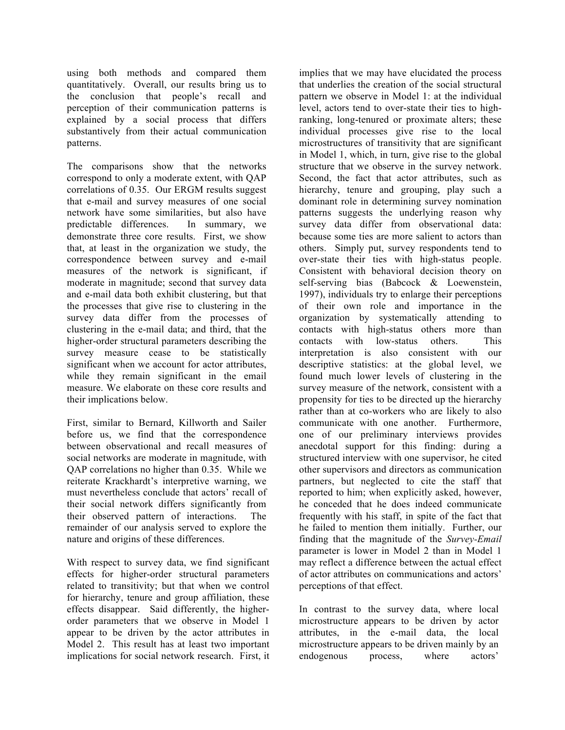using both methods and compared them quantitatively. Overall, our results bring us to the conclusion that people's recall and perception of their communication patterns is explained by a social process that differs substantively from their actual communication patterns.

The comparisons show that the networks correspond to only a moderate extent, with QAP correlations of 0.35. Our ERGM results suggest that e-mail and survey measures of one social network have some similarities, but also have predictable differences. In summary, we demonstrate three core results. First, we show that, at least in the organization we study, the correspondence between survey and e-mail measures of the network is significant, if moderate in magnitude; second that survey data and e-mail data both exhibit clustering, but that the processes that give rise to clustering in the survey data differ from the processes of clustering in the e-mail data; and third, that the higher-order structural parameters describing the survey measure cease to be statistically significant when we account for actor attributes, while they remain significant in the email measure. We elaborate on these core results and their implications below.

First, similar to Bernard, Killworth and Sailer before us, we find that the correspondence between observational and recall measures of social networks are moderate in magnitude, with QAP correlations no higher than 0.35. While we reiterate Krackhardt's interpretive warning, we must nevertheless conclude that actors' recall of their social network differs significantly from their observed pattern of interactions. The remainder of our analysis served to explore the nature and origins of these differences.

With respect to survey data, we find significant effects for higher-order structural parameters related to transitivity; but that when we control for hierarchy, tenure and group affiliation, these effects disappear. Said differently, the higherorder parameters that we observe in Model 1 appear to be driven by the actor attributes in Model 2. This result has at least two important implications for social network research. First, it implies that we may have elucidated the process that underlies the creation of the social structural pattern we observe in Model 1: at the individual level, actors tend to over-state their ties to highranking, long-tenured or proximate alters; these individual processes give rise to the local microstructures of transitivity that are significant in Model 1, which, in turn, give rise to the global structure that we observe in the survey network. Second, the fact that actor attributes, such as hierarchy, tenure and grouping, play such a dominant role in determining survey nomination patterns suggests the underlying reason why survey data differ from observational data: because some ties are more salient to actors than others. Simply put, survey respondents tend to over-state their ties with high-status people. Consistent with behavioral decision theory on self-serving bias (Babcock & Loewenstein, 1997), individuals try to enlarge their perceptions of their own role and importance in the organization by systematically attending to contacts with high-status others more than contacts with low-status others. This interpretation is also consistent with our descriptive statistics: at the global level, we found much lower levels of clustering in the survey measure of the network, consistent with a propensity for ties to be directed up the hierarchy rather than at co-workers who are likely to also communicate with one another. Furthermore, one of our preliminary interviews provides anecdotal support for this finding: during a structured interview with one supervisor, he cited other supervisors and directors as communication partners, but neglected to cite the staff that reported to him; when explicitly asked, however, he conceded that he does indeed communicate frequently with his staff, in spite of the fact that he failed to mention them initially. Further, our finding that the magnitude of the *Survey-Email* parameter is lower in Model 2 than in Model 1 may reflect a difference between the actual effect of actor attributes on communications and actors' perceptions of that effect.

In contrast to the survey data, where local microstructure appears to be driven by actor attributes, in the e-mail data, the local microstructure appears to be driven mainly by an endogenous process, where actors'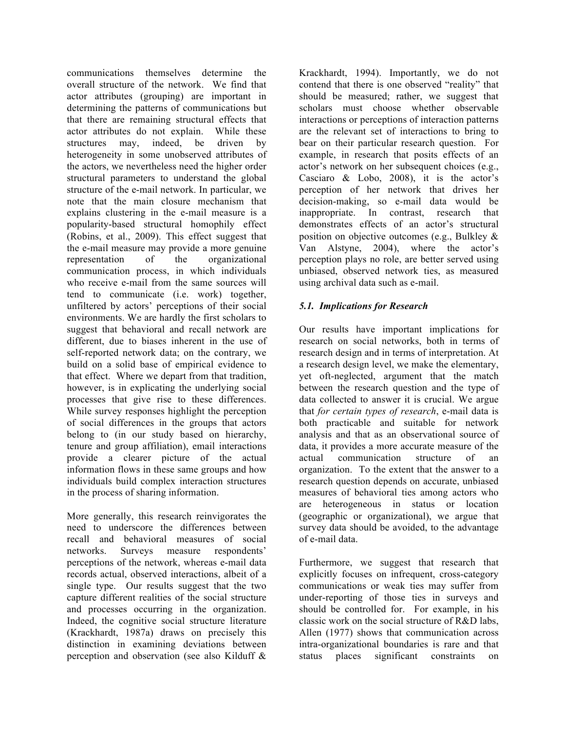communications themselves determine the overall structure of the network. We find that actor attributes (grouping) are important in determining the patterns of communications but that there are remaining structural effects that actor attributes do not explain. While these structures may, indeed, be driven by heterogeneity in some unobserved attributes of the actors, we nevertheless need the higher order structural parameters to understand the global structure of the e-mail network. In particular, we note that the main closure mechanism that explains clustering in the e-mail measure is a popularity-based structural homophily effect (Robins, et al., 2009). This effect suggest that the e-mail measure may provide a more genuine representation of the organizational communication process, in which individuals who receive e-mail from the same sources will tend to communicate (i.e. work) together, unfiltered by actors' perceptions of their social environments. We are hardly the first scholars to suggest that behavioral and recall network are different, due to biases inherent in the use of self-reported network data; on the contrary, we build on a solid base of empirical evidence to that effect. Where we depart from that tradition, however, is in explicating the underlying social processes that give rise to these differences. While survey responses highlight the perception of social differences in the groups that actors belong to (in our study based on hierarchy, tenure and group affiliation), email interactions provide a clearer picture of the actual information flows in these same groups and how individuals build complex interaction structures in the process of sharing information.

More generally, this research reinvigorates the need to underscore the differences between recall and behavioral measures of social networks. Surveys measure respondents' perceptions of the network, whereas e-mail data records actual, observed interactions, albeit of a single type. Our results suggest that the two capture different realities of the social structure and processes occurring in the organization. Indeed, the cognitive social structure literature (Krackhardt, 1987a) draws on precisely this distinction in examining deviations between perception and observation (see also Kilduff & Krackhardt, 1994). Importantly, we do not contend that there is one observed "reality" that should be measured; rather, we suggest that scholars must choose whether observable interactions or perceptions of interaction patterns are the relevant set of interactions to bring to bear on their particular research question. For example, in research that posits effects of an actor's network on her subsequent choices (e.g., Casciaro & Lobo, 2008), it is the actor's perception of her network that drives her decision-making, so e-mail data would be inappropriate. In contrast, research that demonstrates effects of an actor's structural position on objective outcomes (e.g., Bulkley & Van Alstyne, 2004), where the actor's perception plays no role, are better served using unbiased, observed network ties, as measured using archival data such as e-mail.

### *5.1. Implications for Research*

Our results have important implications for research on social networks, both in terms of research design and in terms of interpretation. At a research design level, we make the elementary, yet oft-neglected, argument that the match between the research question and the type of data collected to answer it is crucial. We argue that *for certain types of research*, e-mail data is both practicable and suitable for network analysis and that as an observational source of data, it provides a more accurate measure of the actual communication structure of an organization. To the extent that the answer to a research question depends on accurate, unbiased measures of behavioral ties among actors who are heterogeneous in status or location (geographic or organizational), we argue that survey data should be avoided, to the advantage of e-mail data.

Furthermore, we suggest that research that explicitly focuses on infrequent, cross-category communications or weak ties may suffer from under-reporting of those ties in surveys and should be controlled for. For example, in his classic work on the social structure of  $R&D$  labs Allen (1977) shows that communication across intra-organizational boundaries is rare and that status places significant constraints on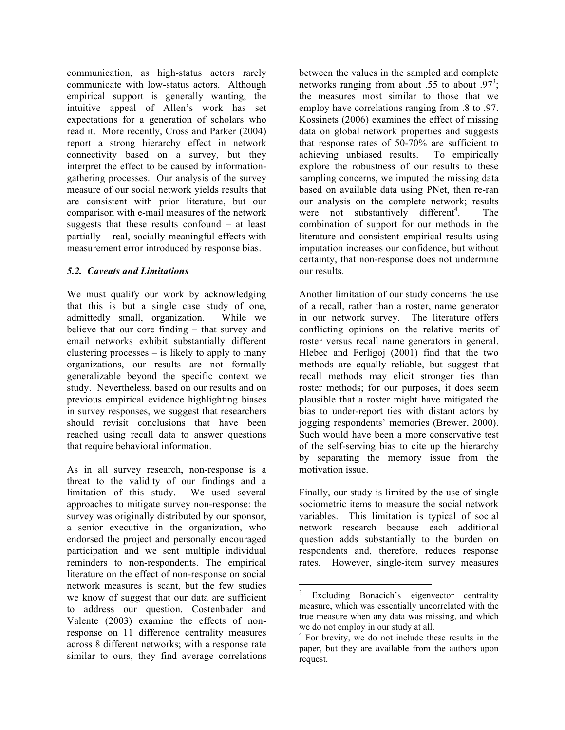communication, as high-status actors rarely communicate with low-status actors. Although empirical support is generally wanting, the intuitive appeal of Allen's work has set expectations for a generation of scholars who read it. More recently, Cross and Parker (2004) report a strong hierarchy effect in network connectivity based on a survey, but they interpret the effect to be caused by informationgathering processes. Our analysis of the survey measure of our social network yields results that are consistent with prior literature, but our comparison with e-mail measures of the network suggests that these results confound – at least partially – real, socially meaningful effects with measurement error introduced by response bias.

# *5.2. Caveats and Limitations*

We must qualify our work by acknowledging that this is but a single case study of one, admittedly small, organization. While we believe that our core finding – that survey and email networks exhibit substantially different clustering processes – is likely to apply to many organizations, our results are not formally generalizable beyond the specific context we study. Nevertheless, based on our results and on previous empirical evidence highlighting biases in survey responses, we suggest that researchers should revisit conclusions that have been reached using recall data to answer questions that require behavioral information.

As in all survey research, non-response is a threat to the validity of our findings and a limitation of this study. We used several approaches to mitigate survey non-response: the survey was originally distributed by our sponsor, a senior executive in the organization, who endorsed the project and personally encouraged participation and we sent multiple individual reminders to non-respondents. The empirical literature on the effect of non-response on social network measures is scant, but the few studies we know of suggest that our data are sufficient to address our question. Costenbader and Valente (2003) examine the effects of nonresponse on 11 difference centrality measures across 8 different networks; with a response rate similar to ours, they find average correlations between the values in the sampled and complete networks ranging from about .55 to about .97<sup>3</sup>; the measures most similar to those that we employ have correlations ranging from .8 to .97. Kossinets (2006) examines the effect of missing data on global network properties and suggests that response rates of 50-70% are sufficient to achieving unbiased results. To empirically explore the robustness of our results to these sampling concerns, we imputed the missing data based on available data using PNet, then re-ran our analysis on the complete network; results were not substantively different<sup>4</sup>. . The combination of support for our methods in the literature and consistent empirical results using imputation increases our confidence, but without certainty, that non-response does not undermine our results.

Another limitation of our study concerns the use of a recall, rather than a roster, name generator in our network survey. The literature offers conflicting opinions on the relative merits of roster versus recall name generators in general. Hlebec and Ferligoj (2001) find that the two methods are equally reliable, but suggest that recall methods may elicit stronger ties than roster methods; for our purposes, it does seem plausible that a roster might have mitigated the bias to under-report ties with distant actors by jogging respondents' memories (Brewer, 2000). Such would have been a more conservative test of the self-serving bias to cite up the hierarchy by separating the memory issue from the motivation issue.

Finally, our study is limited by the use of single sociometric items to measure the social network variables. This limitation is typical of social network research because each additional question adds substantially to the burden on respondents and, therefore, reduces response rates. However, single-item survey measures

Excluding Bonacich's eigenvector centrality measure, which was essentially uncorrelated with the true measure when any data was missing, and which we do not employ in our study at all.

<sup>4</sup> For brevity, we do not include these results in the paper, but they are available from the authors upon request.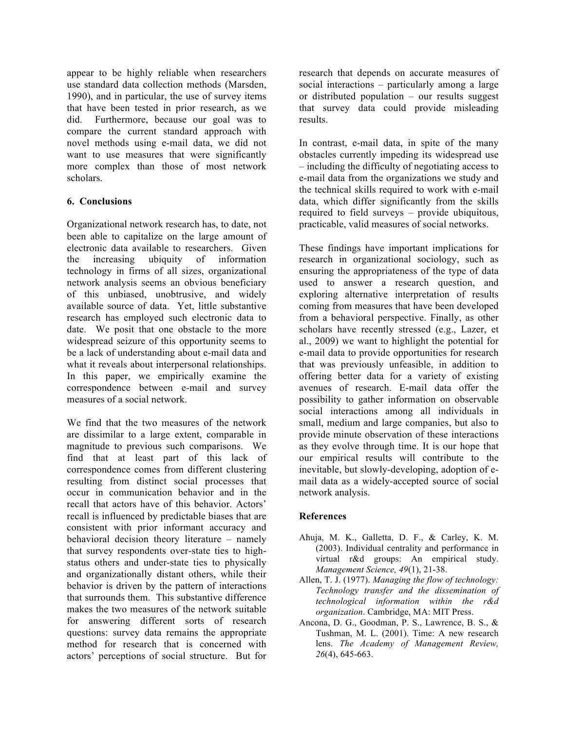appear to be highly reliable when researchers use standard data collection methods (Marsden, 1990), and in particular, the use of survey items that have been tested in prior research, as we did. Furthermore, because our goal was to compare the current standard approach with novel methods using e-mail data, we did not want to use measures that were significantly more complex than those of most network scholars.

### **6. Conclusions**

Organizational network research has, to date, not been able to capitalize on the large amount of electronic data available to researchers. Given the increasing ubiquity of information technology in firms of all sizes, organizational network analysis seems an obvious beneficiary of this unbiased, unobtrusive, and widely available source of data. Yet, little substantive research has employed such electronic data to date. We posit that one obstacle to the more widespread seizure of this opportunity seems to be a lack of understanding about e-mail data and what it reveals about interpersonal relationships. In this paper, we empirically examine the correspondence between e-mail and survey measures of a social network.

We find that the two measures of the network are dissimilar to a large extent, comparable in magnitude to previous such comparisons. We find that at least part of this lack of correspondence comes from different clustering resulting from distinct social processes that occur in communication behavior and in the recall that actors have of this behavior. Actors' recall is influenced by predictable biases that are consistent with prior informant accuracy and behavioral decision theory literature – namely that survey respondents over-state ties to highstatus others and under-state ties to physically and organizationally distant others, while their behavior is driven by the pattern of interactions that surrounds them. This substantive difference makes the two measures of the network suitable for answering different sorts of research questions: survey data remains the appropriate method for research that is concerned with actors' perceptions of social structure. But for research that depends on accurate measures of social interactions – particularly among a large or distributed population – our results suggest that survey data could provide misleading results.

In contrast, e-mail data, in spite of the many obstacles currently impeding its widespread use – including the difficulty of negotiating access to e-mail data from the organizations we study and the technical skills required to work with e-mail data, which differ significantly from the skills required to field surveys – provide ubiquitous, practicable, valid measures of social networks.

These findings have important implications for research in organizational sociology, such as ensuring the appropriateness of the type of data used to answer a research question, and exploring alternative interpretation of results coming from measures that have been developed from a behavioral perspective. Finally, as other scholars have recently stressed (e.g., Lazer, et al., 2009) we want to highlight the potential for e-mail data to provide opportunities for research that was previously unfeasible, in addition to offering better data for a variety of existing avenues of research. E-mail data offer the possibility to gather information on observable social interactions among all individuals in small, medium and large companies, but also to provide minute observation of these interactions as they evolve through time. It is our hope that our empirical results will contribute to the inevitable, but slowly-developing, adoption of email data as a widely-accepted source of social network analysis.

# **References**

- Ahuja, M. K., Galletta, D. F., & Carley, K. M. (2003). Individual centrality and performance in virtual r&d groups: An empirical study. *Management Science, 49*(1), 21-38.
- Allen, T. J. (1977). *Managing the flow of technology: Technology transfer and the dissemination of technological information within the r&d organization*. Cambridge, MA: MIT Press.
- Ancona, D. G., Goodman, P. S., Lawrence, B. S., & Tushman, M. L. (2001). Time: A new research lens. *The Academy of Management Review, 26*(4), 645-663.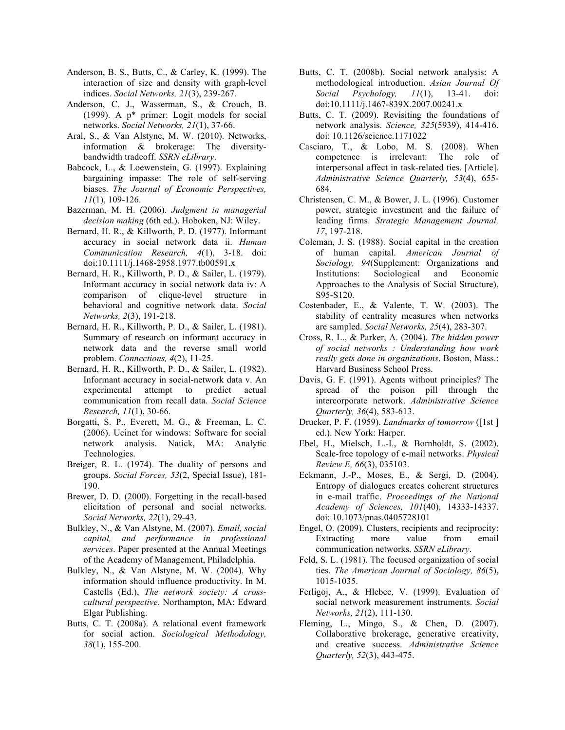- Anderson, B. S., Butts, C., & Carley, K. (1999). The interaction of size and density with graph-level indices. *Social Networks, 21*(3), 239-267.
- Anderson, C. J., Wasserman, S., & Crouch, B. (1999). A p\* primer: Logit models for social networks. *Social Networks, 21*(1), 37-66.
- Aral, S., & Van Alstyne, M. W. (2010). Networks, information & brokerage: The diversitybandwidth tradeoff. *SSRN eLibrary*.
- Babcock, L., & Loewenstein, G. (1997). Explaining bargaining impasse: The role of self-serving biases. *The Journal of Economic Perspectives, 11*(1), 109-126.
- Bazerman, M. H. (2006). *Judgment in managerial decision making* (6th ed.). Hoboken, NJ: Wiley.
- Bernard, H. R., & Killworth, P. D. (1977). Informant accuracy in social network data ii. *Human Communication Research, 4*(1), 3-18. doi: doi:10.1111/j.1468-2958.1977.tb00591.x
- Bernard, H. R., Killworth, P. D., & Sailer, L. (1979). Informant accuracy in social network data iv: A comparison of clique-level structure in behavioral and cognitive network data. *Social Networks, 2*(3), 191-218.
- Bernard, H. R., Killworth, P. D., & Sailer, L. (1981). Summary of research on informant accuracy in network data and the reverse small world problem. *Connections, 4*(2), 11-25.
- Bernard, H. R., Killworth, P. D., & Sailer, L. (1982). Informant accuracy in social-network data v. An experimental attempt to predict actual communication from recall data. *Social Science Research, 11*(1), 30-66.
- Borgatti, S. P., Everett, M. G., & Freeman, L. C. (2006). Ucinet for windows: Software for social network analysis. Natick, MA: Analytic Technologies.
- Breiger, R. L. (1974). The duality of persons and groups. *Social Forces, 53*(2, Special Issue), 181- 190.
- Brewer, D. D. (2000). Forgetting in the recall-based elicitation of personal and social networks. *Social Networks, 22*(1), 29-43.
- Bulkley, N., & Van Alstyne, M. (2007). *Email, social capital, and performance in professional services*. Paper presented at the Annual Meetings of the Academy of Management, Philadelphia.
- Bulkley, N., & Van Alstyne, M. W. (2004). Why information should influence productivity. In M. Castells (Ed.), *The network society: A crosscultural perspective*. Northampton, MA: Edward Elgar Publishing.
- Butts, C. T. (2008a). A relational event framework for social action. *Sociological Methodology, 38*(1), 155-200.
- Butts, C. T. (2008b). Social network analysis: A methodological introduction. *Asian Journal Of Social Psychology, 11*(1), 13-41. doi: doi:10.1111/j.1467-839X.2007.00241.x
- Butts, C. T. (2009). Revisiting the foundations of network analysis. *Science, 325*(5939), 414-416. doi: 10.1126/science.1171022
- Casciaro, T., & Lobo, M. S. (2008). When competence is irrelevant: The role of interpersonal affect in task-related ties. [Article]. *Administrative Science Quarterly, 53*(4), 655- 684.
- Christensen, C. M., & Bower, J. L. (1996). Customer power, strategic investment and the failure of leading firms. *Strategic Management Journal, 17*, 197-218.
- Coleman, J. S. (1988). Social capital in the creation of human capital. *American Journal of Sociology, 94*(Supplement: Organizations and Institutions: Sociological and Economic Approaches to the Analysis of Social Structure), S95-S120.
- Costenbader, E., & Valente, T. W. (2003). The stability of centrality measures when networks are sampled. *Social Networks, 25*(4), 283-307.
- Cross, R. L., & Parker, A. (2004). *The hidden power of social networks : Understanding how work really gets done in organizations*. Boston, Mass.: Harvard Business School Press.
- Davis, G. F. (1991). Agents without principles? The spread of the poison pill through the intercorporate network. *Administrative Science Quarterly, 36*(4), 583-613.
- Drucker, P. F. (1959). *Landmarks of tomorrow* ([1st ] ed.). New York: Harper.
- Ebel, H., Mielsch, L.-I., & Bornholdt, S. (2002). Scale-free topology of e-mail networks. *Physical Review E, 66*(3), 035103.
- Eckmann, J.-P., Moses, E., & Sergi, D. (2004). Entropy of dialogues creates coherent structures in e-mail traffic. *Proceedings of the National Academy of Sciences, 101*(40), 14333-14337. doi: 10.1073/pnas.0405728101
- Engel, O. (2009). Clusters, recipients and reciprocity: Extracting more value from email communication networks. *SSRN eLibrary*.
- Feld, S. L. (1981). The focused organization of social ties. *The American Journal of Sociology, 86*(5), 1015-1035.
- Ferligoj, A., & Hlebec, V. (1999). Evaluation of social network measurement instruments. *Social Networks, 21*(2), 111-130.
- Fleming, L., Mingo, S., & Chen, D. (2007). Collaborative brokerage, generative creativity, and creative success. *Administrative Science Quarterly, 52*(3), 443-475.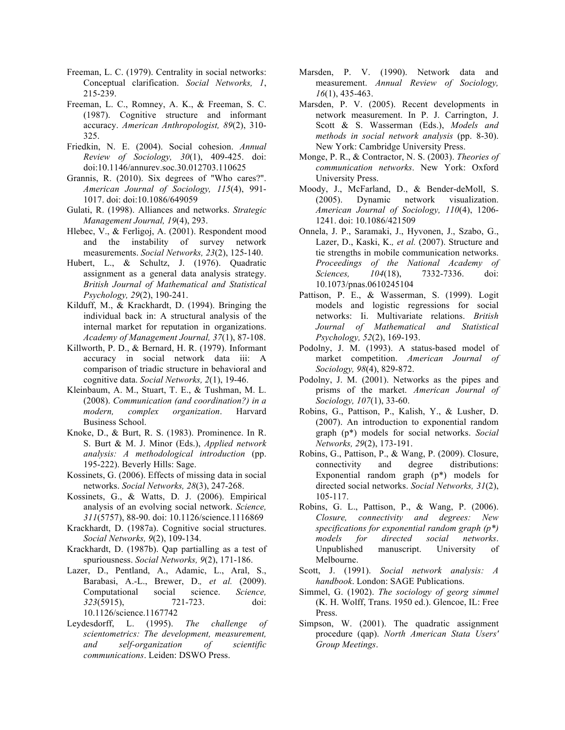- Freeman, L. C. (1979). Centrality in social networks: Conceptual clarification. *Social Networks, 1*, 215-239.
- Freeman, L. C., Romney, A. K., & Freeman, S. C. (1987). Cognitive structure and informant accuracy. *American Anthropologist, 89*(2), 310- 325.
- Friedkin, N. E. (2004). Social cohesion. *Annual Review of Sociology, 30*(1), 409-425. doi: doi:10.1146/annurev.soc.30.012703.110625
- Grannis, R. (2010). Six degrees of "Who cares?". *American Journal of Sociology, 115*(4), 991- 1017. doi: doi:10.1086/649059
- Gulati, R. (1998). Alliances and networks. *Strategic Management Journal, 19*(4), 293.
- Hlebec, V., & Ferligoj, A. (2001). Respondent mood and the instability of survey network measurements. *Social Networks, 23*(2), 125-140.
- Hubert, L., & Schultz, J. (1976). Quadratic assignment as a general data analysis strategy. *British Journal of Mathematical and Statistical Psychology, 29*(2), 190-241.
- Kilduff, M., & Krackhardt, D. (1994). Bringing the individual back in: A structural analysis of the internal market for reputation in organizations. *Academy of Management Journal, 37*(1), 87-108.
- Killworth, P. D., & Bernard, H. R. (1979). Informant accuracy in social network data iii: A comparison of triadic structure in behavioral and cognitive data. *Social Networks, 2*(1), 19-46.
- Kleinbaum, A. M., Stuart, T. E., & Tushman, M. L. (2008). *Communication (and coordination?) in a modern, complex organization*. Harvard Business School.
- Knoke, D., & Burt, R. S. (1983). Prominence. In R. S. Burt & M. J. Minor (Eds.), *Applied network analysis: A methodological introduction* (pp. 195-222). Beverly Hills: Sage.
- Kossinets, G. (2006). Effects of missing data in social networks. *Social Networks, 28*(3), 247-268.
- Kossinets, G., & Watts, D. J. (2006). Empirical analysis of an evolving social network. *Science, 311*(5757), 88-90. doi: 10.1126/science.1116869
- Krackhardt, D. (1987a). Cognitive social structures. *Social Networks, 9*(2), 109-134.
- Krackhardt, D. (1987b). Qap partialling as a test of spuriousness. *Social Networks, 9*(2), 171-186.
- Lazer, D., Pentland, A., Adamic, L., Aral, S., Barabasi, A.-L., Brewer, D.*, et al.* (2009). Computational social science. *Science, 323*(5915), 721-723. doi: 10.1126/science.1167742
- Leydesdorff, L. (1995). *The challenge of scientometrics: The development, measurement, and self-organization of scientific communications*. Leiden: DSWO Press.
- Marsden, P. V. (1990). Network data and measurement. *Annual Review of Sociology, 16*(1), 435-463.
- Marsden, P. V. (2005). Recent developments in network measurement. In P. J. Carrington, J. Scott & S. Wasserman (Eds.), *Models and methods in social network analysis* (pp. 8-30). New York: Cambridge University Press.
- Monge, P. R., & Contractor, N. S. (2003). *Theories of communication networks*. New York: Oxford University Press.
- Moody, J., McFarland, D., & Bender-deMoll, S. (2005). Dynamic network visualization. *American Journal of Sociology, 110*(4), 1206- 1241. doi: 10.1086/421509
- Onnela, J. P., Saramaki, J., Hyvonen, J., Szabo, G., Lazer, D., Kaski, K.*, et al.* (2007). Structure and tie strengths in mobile communication networks. *Proceedings of the National Academy of Sciences, 104*(18), 7332-7336. doi: 10.1073/pnas.0610245104
- Pattison, P. E., & Wasserman, S. (1999). Logit models and logistic regressions for social networks: Ii. Multivariate relations. *British Journal of Mathematical and Statistical Psychology, 52*(2), 169-193.
- Podolny, J. M. (1993). A status-based model of market competition. *American Journal of Sociology, 98*(4), 829-872.
- Podolny, J. M. (2001). Networks as the pipes and prisms of the market. *American Journal of Sociology, 107*(1), 33-60.
- Robins, G., Pattison, P., Kalish, Y., & Lusher, D. (2007). An introduction to exponential random graph (p\*) models for social networks. *Social Networks, 29*(2), 173-191.
- Robins, G., Pattison, P., & Wang, P. (2009). Closure, connectivity and degree distributions: Exponential random graph (p\*) models for directed social networks. *Social Networks, 31*(2), 105-117.
- Robins, G. L., Pattison, P., & Wang, P. (2006). *Closure, connectivity and degrees: New specifications for exponential random graph (p\*) models for directed social networks*. Unpublished manuscript. University of Melbourne.
- Scott, J. (1991). *Social network analysis: A handbook*. London: SAGE Publications.
- Simmel, G. (1902). *The sociology of georg simmel* (K. H. Wolff, Trans. 1950 ed.). Glencoe, IL: Free Press.
- Simpson, W. (2001). The quadratic assignment procedure (qap). *North American Stata Users' Group Meetings*.